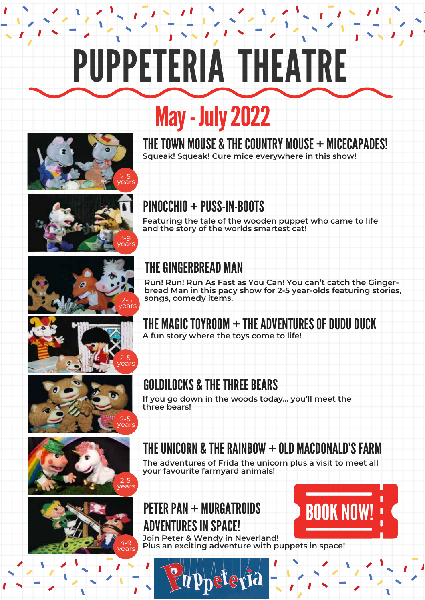# PUPPETERIA THEATRE





THE TOWN MOUSE & THE COUNTRY MOUSE + MICECAPADES! **Squeak! Squeak! Cure mice everywhere in this show!**



# PINOCCHIO + PUSS-IN-BOOTS

**Featuring the tale of the wooden puppet who came to life and the story of the worlds smartest cat!**



### THE GINGERBREAD MAN

**Run! Run! Run As Fast as You Can! You can't catch the Gingerbread Man in this pacy show for 2-5 year-olds featuring stories,**  songs, comedy items.

THE MAGIC TOYROOM  $+$  THE ADVENTURES OF DUDU DUCK **A fun story where the toys come to life!**



2-5 years

#### GOLDILOCKS & THE THREE BEARS

**If you go down in the woods today... you'll meet the three bears!**





## THE UNICORN & THE RAINBOW + OLD MACDONALD'S FARM

**The adventures of Frida the unicorn plus a visit to meet all your favourite farmyard animals!**

PETER PAN + MURGATROIDS ADVENTURES IN SPACE! **Join Peter & Wendy in Neverland! Plus an exciting adventure with puppets in space!** BOOK NOW!